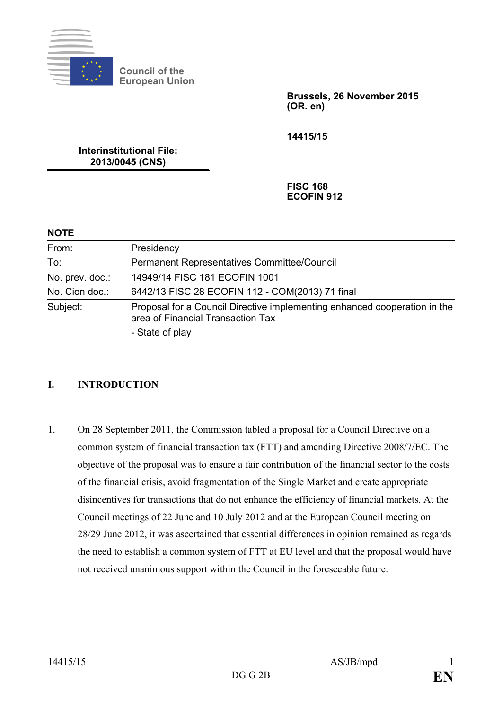

**Council of the European Union**

> **Brussels, 26 November 2015 (OR. en)**

**14415/15**

**Interinstitutional File: 2013/0045 (CNS)**

> **FISC 168 ECOFIN 912**

## **NOTE**

| From:           | Presidency                                                                                                     |
|-----------------|----------------------------------------------------------------------------------------------------------------|
| To:             | Permanent Representatives Committee/Council                                                                    |
| No. prev. doc.: | 14949/14 FISC 181 ECOFIN 1001                                                                                  |
| No. Cion doc.:  | 6442/13 FISC 28 ECOFIN 112 - COM(2013) 71 final                                                                |
| Subject:        | Proposal for a Council Directive implementing enhanced cooperation in the<br>area of Financial Transaction Tax |
|                 | - State of play                                                                                                |

# **I. INTRODUCTION**

1. On 28 September 2011, the Commission tabled a proposal for a Council Directive on a common system of financial transaction tax (FTT) and amending Directive 2008/7/EC. The objective of the proposal was to ensure a fair contribution of the financial sector to the costs of the financial crisis, avoid fragmentation of the Single Market and create appropriate disincentives for transactions that do not enhance the efficiency of financial markets. At the Council meetings of 22 June and 10 July 2012 and at the European Council meeting on 28/29 June 2012, it was ascertained that essential differences in opinion remained as regards the need to establish a common system of FTT at EU level and that the proposal would have not received unanimous support within the Council in the foreseeable future.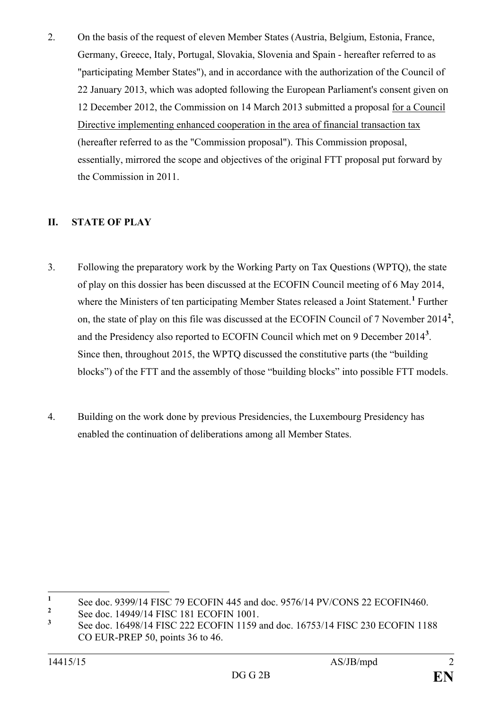2. On the basis of the request of eleven Member States (Austria, Belgium, Estonia, France, Germany, Greece, Italy, Portugal, Slovakia, Slovenia and Spain - hereafter referred to as "participating Member States"), and in accordance with the authorization of the Council of 22 January 2013, which was adopted following the European Parliament's consent given on 12 December 2012, the Commission on 14 March 2013 submitted a proposal for a Council Directive implementing enhanced cooperation in the area of financial transaction tax (hereafter referred to as the "Commission proposal"). This Commission proposal, essentially, mirrored the scope and objectives of the original FTT proposal put forward by the Commission in 2011.

# **II. STATE OF PLAY**

- 3. Following the preparatory work by the Working Party on Tax Questions (WPTQ), the state of play on this dossier has been discussed at the ECOFIN Council meeting of 6 May 2014, where the Ministers of ten participating Member States released a Joint Statement.**[1](#page-1-0)** Further on, the state of play on this file was discussed at the ECOFIN Council of 7 November 2014**[2](#page-1-1)** , and the Presidency also reported to ECOFIN Council which met on 9 December 2014**[3](#page-1-2)** . Since then, throughout 2015, the WPTQ discussed the constitutive parts (the "building blocks") of the FTT and the assembly of those "building blocks" into possible FTT models.
- 4. Building on the work done by previous Presidencies, the Luxembourg Presidency has enabled the continuation of deliberations among all Member States.

<span id="page-1-0"></span>**<sup>1</sup>** See doc. 9399/14 FISC 79 ECOFIN 445 and doc. 9576/14 PV/CONS 22 ECOFIN460.

<span id="page-1-1"></span><sup>&</sup>lt;sup>2</sup> See doc. 14949/14 FISC 181 ECOFIN 1001.<br>
See doc. 16408/14 FISC 222 ECOFIN 1150

<span id="page-1-2"></span>**<sup>3</sup>** See doc. 16498/14 FISC 222 ECOFIN 1159 and doc. 16753/14 FISC 230 ECOFIN 1188 CO EUR-PREP 50, points 36 to 46.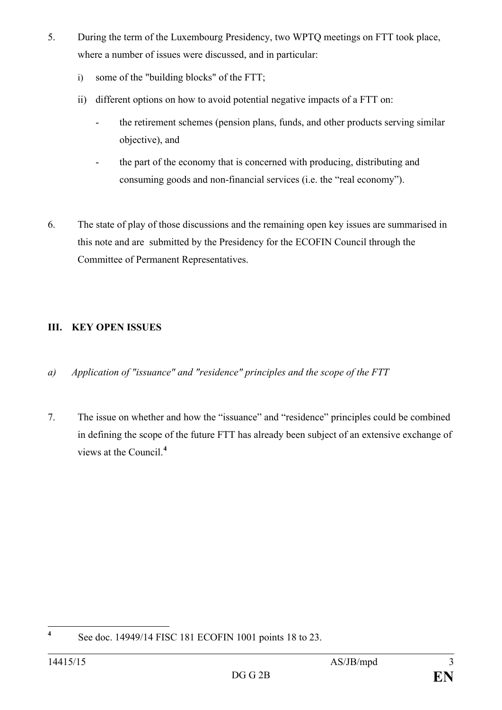- 5. During the term of the Luxembourg Presidency, two WPTQ meetings on FTT took place, where a number of issues were discussed, and in particular:
	- i) some of the "building blocks" of the FTT;
	- ii) different options on how to avoid potential negative impacts of a FTT on:
		- the retirement schemes (pension plans, funds, and other products serving similar objective), and
		- the part of the economy that is concerned with producing, distributing and consuming goods and non-financial services (i.e. the "real economy").
- 6. The state of play of those discussions and the remaining open key issues are summarised in this note and are submitted by the Presidency for the ECOFIN Council through the Committee of Permanent Representatives.

# **III. KEY OPEN ISSUES**

- *a) Application of "issuance" and "residence" principles and the scope of the FTT*
- 7. The issue on whether and how the "issuance" and "residence" principles could be combined in defining the scope of the future FTT has already been subject of an extensive exchange of views at the Council.**[4](#page-2-0)**

<span id="page-2-0"></span>**<sup>4</sup>** See doc. 14949/14 FISC 181 ECOFIN 1001 points 18 to 23.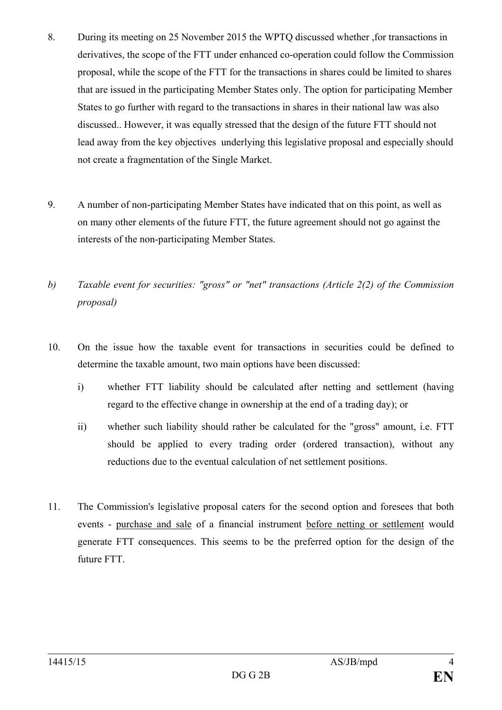- 8. During its meeting on 25 November 2015 the WPTQ discussed whether ,for transactions in derivatives, the scope of the FTT under enhanced co-operation could follow the Commission proposal, while the scope of the FTT for the transactions in shares could be limited to shares that are issued in the participating Member States only. The option for participating Member States to go further with regard to the transactions in shares in their national law was also discussed.. However, it was equally stressed that the design of the future FTT should not lead away from the key objectives underlying this legislative proposal and especially should not create a fragmentation of the Single Market.
- 9. A number of non-participating Member States have indicated that on this point, as well as on many other elements of the future FTT, the future agreement should not go against the interests of the non-participating Member States.
- *b) Taxable event for securities: "gross" or "net" transactions (Article 2(2) of the Commission proposal)*
- 10. On the issue how the taxable event for transactions in securities could be defined to determine the taxable amount, two main options have been discussed:
	- i) whether FTT liability should be calculated after netting and settlement (having regard to the effective change in ownership at the end of a trading day); or
	- ii) whether such liability should rather be calculated for the "gross" amount, i.e. FTT should be applied to every trading order (ordered transaction), without any reductions due to the eventual calculation of net settlement positions.
- 11. The Commission's legislative proposal caters for the second option and foresees that both events - purchase and sale of a financial instrument before netting or settlement would generate FTT consequences. This seems to be the preferred option for the design of the future FTT.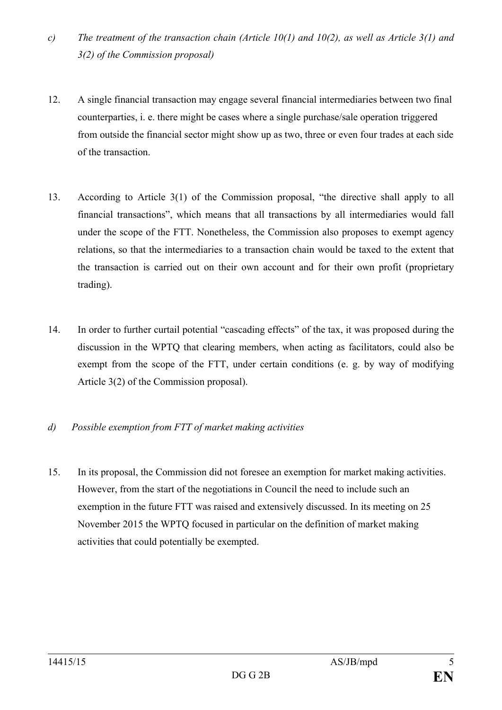- *c) The treatment of the transaction chain (Article 10(1) and 10(2), as well as Article 3(1) and 3(2) of the Commission proposal)*
- 12. A single financial transaction may engage several financial intermediaries between two final counterparties, i. e. there might be cases where a single purchase/sale operation triggered from outside the financial sector might show up as two, three or even four trades at each side of the transaction.
- 13. According to Article 3(1) of the Commission proposal, "the directive shall apply to all financial transactions", which means that all transactions by all intermediaries would fall under the scope of the FTT. Nonetheless, the Commission also proposes to exempt agency relations, so that the intermediaries to a transaction chain would be taxed to the extent that the transaction is carried out on their own account and for their own profit (proprietary trading).
- 14. In order to further curtail potential "cascading effects" of the tax, it was proposed during the discussion in the WPTQ that clearing members, when acting as facilitators, could also be exempt from the scope of the FTT, under certain conditions (e. g. by way of modifying Article 3(2) of the Commission proposal).

# *d) Possible exemption from FTT of market making activities*

15. In its proposal, the Commission did not foresee an exemption for market making activities. However, from the start of the negotiations in Council the need to include such an exemption in the future FTT was raised and extensively discussed. In its meeting on 25 November 2015 the WPTQ focused in particular on the definition of market making activities that could potentially be exempted.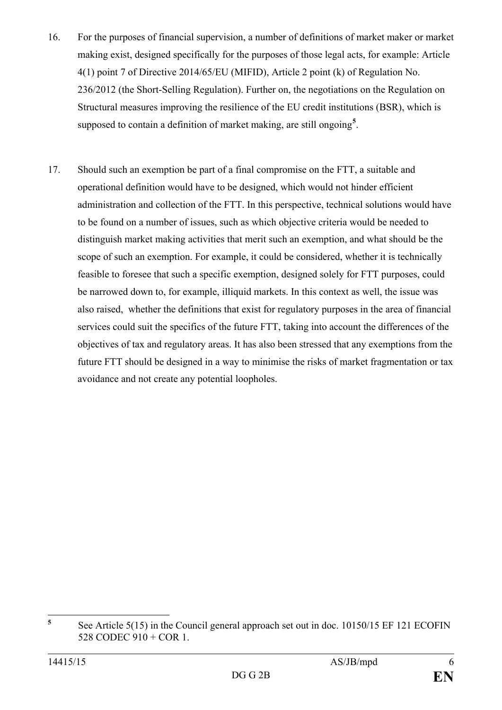- 16. For the purposes of financial supervision, a number of definitions of market maker or market making exist, designed specifically for the purposes of those legal acts, for example: Article 4(1) point 7 of Directive 2014/65/EU (MIFID), Article 2 point (k) of Regulation No. 236/2012 (the Short-Selling Regulation). Further on, the negotiations on the Regulation on Structural measures improving the resilience of the EU credit institutions (BSR), which is supposed to contain a definition of market making, are still ongoing**[5](#page-5-0)** .
- 17. Should such an exemption be part of a final compromise on the FTT, a suitable and operational definition would have to be designed, which would not hinder efficient administration and collection of the FTT. In this perspective, technical solutions would have to be found on a number of issues, such as which objective criteria would be needed to distinguish market making activities that merit such an exemption, and what should be the scope of such an exemption. For example, it could be considered, whether it is technically feasible to foresee that such a specific exemption, designed solely for FTT purposes, could be narrowed down to, for example, illiquid markets. In this context as well, the issue was also raised, whether the definitions that exist for regulatory purposes in the area of financial services could suit the specifics of the future FTT, taking into account the differences of the objectives of tax and regulatory areas. It has also been stressed that any exemptions from the future FTT should be designed in a way to minimise the risks of market fragmentation or tax avoidance and not create any potential loopholes.

<span id="page-5-0"></span>**<sup>5</sup>** See Article 5(15) in the Council general approach set out in doc. 10150/15 EF 121 ECOFIN 528 CODEC 910 + COR 1.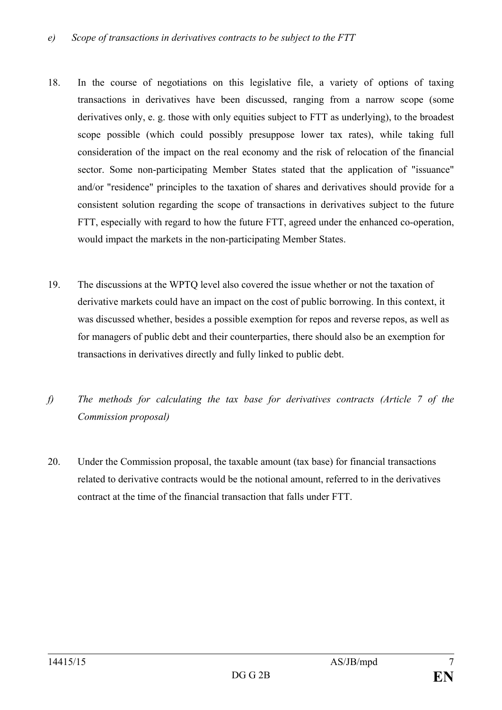- 18. In the course of negotiations on this legislative file, a variety of options of taxing transactions in derivatives have been discussed, ranging from a narrow scope (some derivatives only, e. g. those with only equities subject to FTT as underlying), to the broadest scope possible (which could possibly presuppose lower tax rates), while taking full consideration of the impact on the real economy and the risk of relocation of the financial sector. Some non-participating Member States stated that the application of "issuance" and/or "residence" principles to the taxation of shares and derivatives should provide for a consistent solution regarding the scope of transactions in derivatives subject to the future FTT, especially with regard to how the future FTT, agreed under the enhanced co-operation, would impact the markets in the non-participating Member States.
- 19. The discussions at the WPTQ level also covered the issue whether or not the taxation of derivative markets could have an impact on the cost of public borrowing. In this context, it was discussed whether, besides a possible exemption for repos and reverse repos, as well as for managers of public debt and their counterparties, there should also be an exemption for transactions in derivatives directly and fully linked to public debt.
- *f) The methods for calculating the tax base for derivatives contracts (Article 7 of the Commission proposal)*
- 20. Under the Commission proposal, the taxable amount (tax base) for financial transactions related to derivative contracts would be the notional amount, referred to in the derivatives contract at the time of the financial transaction that falls under FTT.